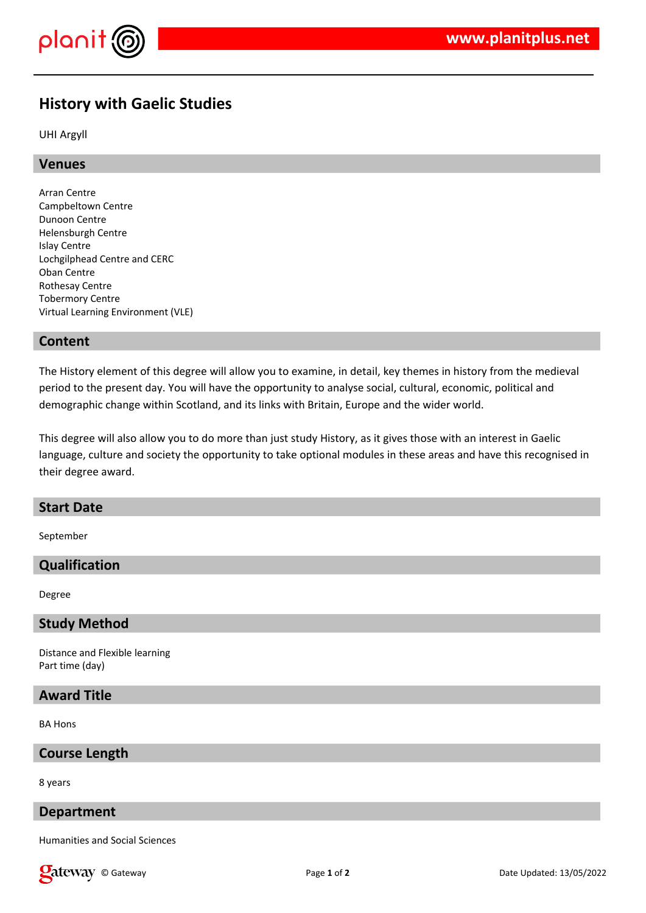

# **History with Gaelic Studies**

UHI Argyll

## **Venues**

Arran Centre Campbeltown Centre Dunoon Centre Helensburgh Centre Islay Centre Lochgilphead Centre and CERC Oban Centre Rothesay Centre Tobermory Centre Virtual Learning Environment (VLE)

## **Content**

The History element of this degree will allow you to examine, in detail, key themes in history from the medieval period to the present day. You will have the opportunity to analyse social, cultural, economic, political and demographic change within Scotland, and its links with Britain, Europe and the wider world.

This degree will also allow you to do more than just study History, as it gives those with an interest in Gaelic language, culture and society the opportunity to take optional modules in these areas and have this recognised in their degree award.

#### **Start Date**

September

## **Qualification**

Degree

#### **Study Method**

Distance and Flexible learning Part time (day)

## **Award Title**

BA Hons

## **Course Length**

8 years

### **Department**

Humanities and Social Sciences

**Qateway** © Gateway **Page 1** of 2 Date Updated: 13/05/2022 Date Updated: 13/05/2022